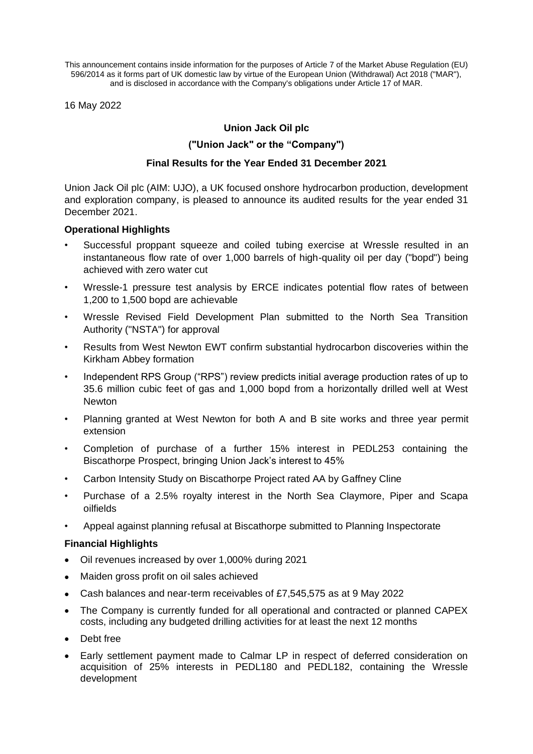This announcement contains inside information for the purposes of Article 7 of the Market Abuse Regulation (EU) 596/2014 as it forms part of UK domestic law by virtue of the European Union (Withdrawal) Act 2018 ("MAR"), and is disclosed in accordance with the Company's obligations under Article 17 of MAR.

16 May 2022

# **Union Jack Oil plc**

# **("Union Jack" or the "Company")**

## **Final Results for the Year Ended 31 December 2021**

Union Jack Oil plc (AIM: UJO), a UK focused onshore hydrocarbon production, development and exploration company, is pleased to announce its audited results for the year ended 31 December 2021.

## **Operational Highlights**

- Successful proppant squeeze and coiled tubing exercise at Wressle resulted in an instantaneous flow rate of over 1,000 barrels of high-quality oil per day ("bopd") being achieved with zero water cut
- Wressle-1 pressure test analysis by ERCE indicates potential flow rates of between 1,200 to 1,500 bopd are achievable
- Wressle Revised Field Development Plan submitted to the North Sea Transition Authority ("NSTA") for approval
- Results from West Newton EWT confirm substantial hydrocarbon discoveries within the Kirkham Abbey formation
- Independent RPS Group ("RPS") review predicts initial average production rates of up to 35.6 million cubic feet of gas and 1,000 bopd from a horizontally drilled well at West **Newton**
- Planning granted at West Newton for both A and B site works and three year permit extension
- Completion of purchase of a further 15% interest in PEDL253 containing the Biscathorpe Prospect, bringing Union Jack's interest to 45%
- Carbon Intensity Study on Biscathorpe Project rated AA by Gaffney Cline
- Purchase of a 2.5% royalty interest in the North Sea Claymore, Piper and Scapa oilfields
- Appeal against planning refusal at Biscathorpe submitted to Planning Inspectorate

### **Financial Highlights**

- Oil revenues increased by over 1,000% during 2021
- Maiden gross profit on oil sales achieved
- Cash balances and near-term receivables of £7,545,575 as at 9 May 2022
- The Company is currently funded for all operational and contracted or planned CAPEX costs, including any budgeted drilling activities for at least the next 12 months
- Debt free
- Early settlement payment made to Calmar LP in respect of deferred consideration on acquisition of 25% interests in PEDL180 and PEDL182, containing the Wressle development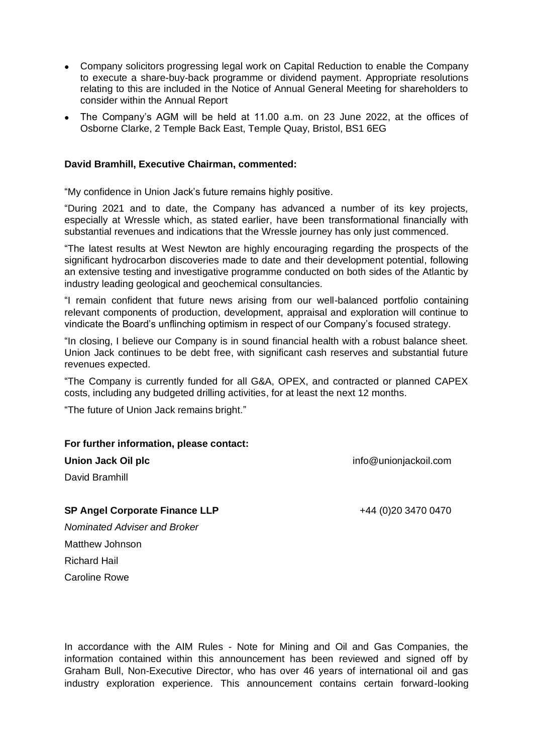- Company solicitors progressing legal work on Capital Reduction to enable the Company to execute a share-buy-back programme or dividend payment. Appropriate resolutions relating to this are included in the Notice of Annual General Meeting for shareholders to consider within the Annual Report
- The Company's AGM will be held at 11.00 a.m. on 23 June 2022, at the offices of Osborne Clarke, 2 Temple Back East, Temple Quay, Bristol, BS1 6EG

## **David Bramhill, Executive Chairman, commented:**

"My confidence in Union Jack's future remains highly positive.

"During 2021 and to date, the Company has advanced a number of its key projects, especially at Wressle which, as stated earlier, have been transformational financially with substantial revenues and indications that the Wressle journey has only just commenced.

"The latest results at West Newton are highly encouraging regarding the prospects of the significant hydrocarbon discoveries made to date and their development potential, following an extensive testing and investigative programme conducted on both sides of the Atlantic by industry leading geological and geochemical consultancies.

"I remain confident that future news arising from our well-balanced portfolio containing relevant components of production, development, appraisal and exploration will continue to vindicate the Board's unflinching optimism in respect of our Company's focused strategy.

"In closing, I believe our Company is in sound financial health with a robust balance sheet. Union Jack continues to be debt free, with significant cash reserves and substantial future revenues expected.

"The Company is currently funded for all G&A, OPEX, and contracted or planned CAPEX costs, including any budgeted drilling activities, for at least the next 12 months.

"The future of Union Jack remains bright."

### **For further information, please contact:**

**Union Jack Oil plc** info@unionjackoil.com

David Bramhill

**SP Angel Corporate Finance LLP**  $+44(0)2034700470$ *Nominated Adviser and Broker*

Matthew Johnson Richard Hail Caroline Rowe

In accordance with the AIM Rules - Note for Mining and Oil and Gas Companies, the information contained within this announcement has been reviewed and signed off by Graham Bull, Non-Executive Director, who has over 46 years of international oil and gas industry exploration experience. This announcement contains certain forward-looking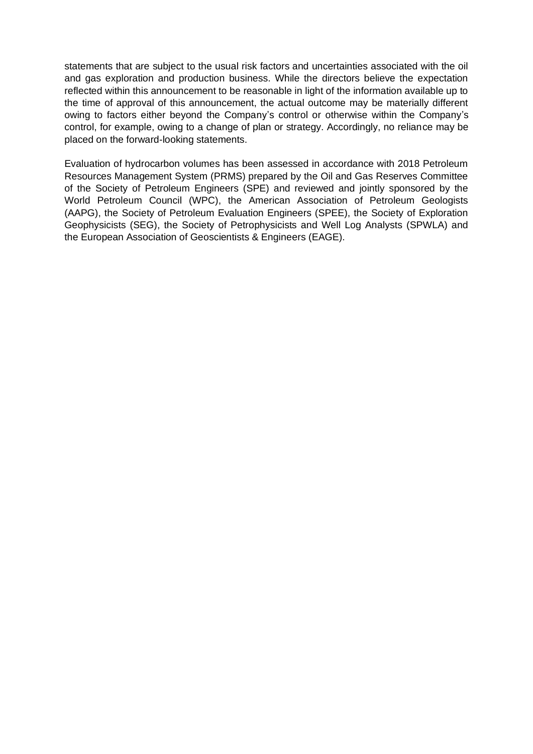statements that are subject to the usual risk factors and uncertainties associated with the oil and gas exploration and production business. While the directors believe the expectation reflected within this announcement to be reasonable in light of the information available up to the time of approval of this announcement, the actual outcome may be materially different owing to factors either beyond the Company's control or otherwise within the Company's control, for example, owing to a change of plan or strategy. Accordingly, no reliance may be placed on the forward-looking statements.

Evaluation of hydrocarbon volumes has been assessed in accordance with 2018 Petroleum Resources Management System (PRMS) prepared by the Oil and Gas Reserves Committee of the Society of Petroleum Engineers (SPE) and reviewed and jointly sponsored by the World Petroleum Council (WPC), the American Association of Petroleum Geologists (AAPG), the Society of Petroleum Evaluation Engineers (SPEE), the Society of Exploration Geophysicists (SEG), the Society of Petrophysicists and Well Log Analysts (SPWLA) and the European Association of Geoscientists & Engineers (EAGE).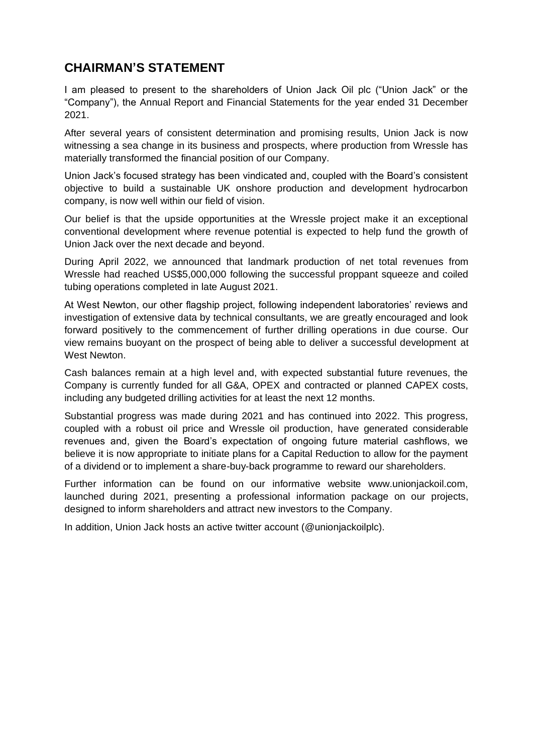# **CHAIRMAN'S STATEMENT**

I am pleased to present to the shareholders of Union Jack Oil plc ("Union Jack" or the "Company"), the Annual Report and Financial Statements for the year ended 31 December 2021.

After several years of consistent determination and promising results, Union Jack is now witnessing a sea change in its business and prospects, where production from Wressle has materially transformed the financial position of our Company.

Union Jack's focused strategy has been vindicated and, coupled with the Board's consistent objective to build a sustainable UK onshore production and development hydrocarbon company, is now well within our field of vision.

Our belief is that the upside opportunities at the Wressle project make it an exceptional conventional development where revenue potential is expected to help fund the growth of Union Jack over the next decade and beyond.

During April 2022, we announced that landmark production of net total revenues from Wressle had reached US\$5,000,000 following the successful proppant squeeze and coiled tubing operations completed in late August 2021.

At West Newton, our other flagship project, following independent laboratories' reviews and investigation of extensive data by technical consultants, we are greatly encouraged and look forward positively to the commencement of further drilling operations in due course. Our view remains buoyant on the prospect of being able to deliver a successful development at West Newton.

Cash balances remain at a high level and, with expected substantial future revenues, the Company is currently funded for all G&A, OPEX and contracted or planned CAPEX costs, including any budgeted drilling activities for at least the next 12 months.

Substantial progress was made during 2021 and has continued into 2022. This progress, coupled with a robust oil price and Wressle oil production, have generated considerable revenues and, given the Board's expectation of ongoing future material cashflows, we believe it is now appropriate to initiate plans for a Capital Reduction to allow for the payment of a dividend or to implement a share-buy-back programme to reward our shareholders.

Further information can be found on our informative website www.unionjackoil.com, launched during 2021, presenting a professional information package on our projects, designed to inform shareholders and attract new investors to the Company.

In addition, Union Jack hosts an active twitter account (@unionjackoilplc).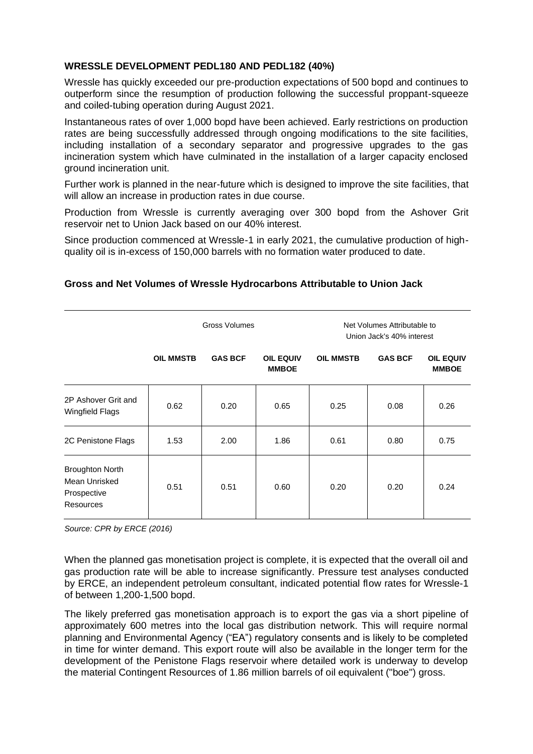# **WRESSLE DEVELOPMENT PEDL180 AND PEDL182 (40%)**

Wressle has quickly exceeded our pre-production expectations of 500 bopd and continues to outperform since the resumption of production following the successful proppant-squeeze and coiled-tubing operation during August 2021.

Instantaneous rates of over 1,000 bopd have been achieved. Early restrictions on production rates are being successfully addressed through ongoing modifications to the site facilities, including installation of a secondary separator and progressive upgrades to the gas incineration system which have culminated in the installation of a larger capacity enclosed ground incineration unit.

Further work is planned in the near-future which is designed to improve the site facilities, that will allow an increase in production rates in due course.

Production from Wressle is currently averaging over 300 bopd from the Ashover Grit reservoir net to Union Jack based on our 40% interest.

Since production commenced at Wressle-1 in early 2021, the cumulative production of highquality oil is in-excess of 150,000 barrels with no formation water produced to date.

# **Gross and Net Volumes of Wressle Hydrocarbons Attributable to Union Jack**

|                                                                     | Gross Volumes    |                | Net Volumes Attributable to<br>Union Jack's 40% interest |                  |                |                                  |
|---------------------------------------------------------------------|------------------|----------------|----------------------------------------------------------|------------------|----------------|----------------------------------|
|                                                                     | <b>OIL MMSTB</b> | <b>GAS BCF</b> | <b>OIL EQUIV</b><br><b>MMBOE</b>                         | <b>OIL MMSTB</b> | <b>GAS BCF</b> | <b>OIL EQUIV</b><br><b>MMBOE</b> |
| 2P Ashover Grit and<br>Wingfield Flags                              | 0.62             | 0.20           | 0.65                                                     | 0.25             | 0.08           | 0.26                             |
| 2C Penistone Flags                                                  | 1.53             | 2.00           | 1.86                                                     | 0.61             | 0.80           | 0.75                             |
| <b>Broughton North</b><br>Mean Unrisked<br>Prospective<br>Resources | 0.51             | 0.51           | 0.60                                                     | 0.20             | 0.20           | 0.24                             |

*Source: CPR by ERCE (2016)*

When the planned gas monetisation project is complete, it is expected that the overall oil and gas production rate will be able to increase significantly. Pressure test analyses conducted by ERCE, an independent petroleum consultant, indicated potential flow rates for Wressle-1 of between 1,200-1,500 bopd.

The likely preferred gas monetisation approach is to export the gas via a short pipeline of approximately 600 metres into the local gas distribution network. This will require normal planning and Environmental Agency ("EA") regulatory consents and is likely to be completed in time for winter demand. This export route will also be available in the longer term for the development of the Penistone Flags reservoir where detailed work is underway to develop the material Contingent Resources of 1.86 million barrels of oil equivalent ("boe") gross.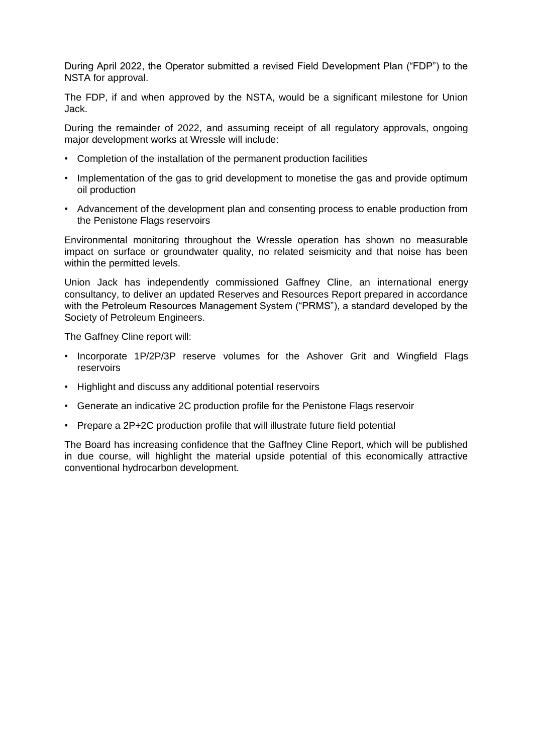During April 2022, the Operator submitted a revised Field Development Plan ("FDP") to the NSTA for approval.

The FDP, if and when approved by the NSTA, would be a significant milestone for Union Jack.

During the remainder of 2022, and assuming receipt of all regulatory approvals, ongoing major development works at Wressle will include:

- Completion of the installation of the permanent production facilities
- Implementation of the gas to grid development to monetise the gas and provide optimum oil production
- Advancement of the development plan and consenting process to enable production from the Penistone Flags reservoirs

Environmental monitoring throughout the Wressle operation has shown no measurable impact on surface or groundwater quality, no related seismicity and that noise has been within the permitted levels.

Union Jack has independently commissioned Gaffney Cline, an international energy consultancy, to deliver an updated Reserves and Resources Report prepared in accordance with the Petroleum Resources Management System ("PRMS"), a standard developed by the Society of Petroleum Engineers.

The Gaffney Cline report will:

- Incorporate 1P/2P/3P reserve volumes for the Ashover Grit and Wingfield Flags reservoirs
- Highlight and discuss any additional potential reservoirs
- Generate an indicative 2C production profile for the Penistone Flags reservoir
- Prepare a 2P+2C production profile that will illustrate future field potential

The Board has increasing confidence that the Gaffney Cline Report, which will be published in due course, will highlight the material upside potential of this economically attractive conventional hydrocarbon development.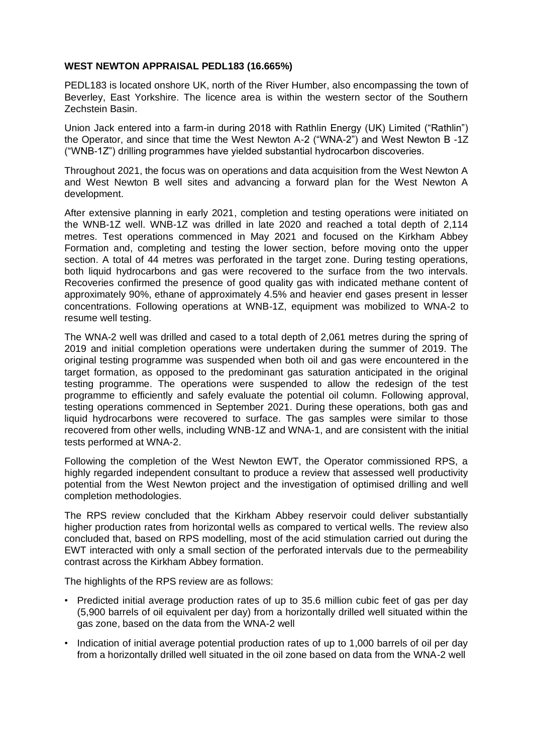## **WEST NEWTON APPRAISAL PEDL183 (16.665%)**

PEDL183 is located onshore UK, north of the River Humber, also encompassing the town of Beverley, East Yorkshire. The licence area is within the western sector of the Southern Zechstein Basin.

Union Jack entered into a farm-in during 2018 with Rathlin Energy (UK) Limited ("Rathlin") the Operator, and since that time the West Newton A-2 ("WNA-2") and West Newton B -1Z ("WNB-1Z") drilling programmes have yielded substantial hydrocarbon discoveries.

Throughout 2021, the focus was on operations and data acquisition from the West Newton A and West Newton B well sites and advancing a forward plan for the West Newton A development.

After extensive planning in early 2021, completion and testing operations were initiated on the WNB-1Z well. WNB-1Z was drilled in late 2020 and reached a total depth of 2,114 metres. Test operations commenced in May 2021 and focused on the Kirkham Abbey Formation and, completing and testing the lower section, before moving onto the upper section. A total of 44 metres was perforated in the target zone. During testing operations, both liquid hydrocarbons and gas were recovered to the surface from the two intervals. Recoveries confirmed the presence of good quality gas with indicated methane content of approximately 90%, ethane of approximately 4.5% and heavier end gases present in lesser concentrations. Following operations at WNB-1Z, equipment was mobilized to WNA-2 to resume well testing.

The WNA-2 well was drilled and cased to a total depth of 2,061 metres during the spring of 2019 and initial completion operations were undertaken during the summer of 2019. The original testing programme was suspended when both oil and gas were encountered in the target formation, as opposed to the predominant gas saturation anticipated in the original testing programme. The operations were suspended to allow the redesign of the test programme to efficiently and safely evaluate the potential oil column. Following approval, testing operations commenced in September 2021. During these operations, both gas and liquid hydrocarbons were recovered to surface. The gas samples were similar to those recovered from other wells, including WNB-1Z and WNA-1, and are consistent with the initial tests performed at WNA-2.

Following the completion of the West Newton EWT, the Operator commissioned RPS, a highly regarded independent consultant to produce a review that assessed well productivity potential from the West Newton project and the investigation of optimised drilling and well completion methodologies.

The RPS review concluded that the Kirkham Abbey reservoir could deliver substantially higher production rates from horizontal wells as compared to vertical wells. The review also concluded that, based on RPS modelling, most of the acid stimulation carried out during the EWT interacted with only a small section of the perforated intervals due to the permeability contrast across the Kirkham Abbey formation.

The highlights of the RPS review are as follows:

- Predicted initial average production rates of up to 35.6 million cubic feet of gas per day (5,900 barrels of oil equivalent per day) from a horizontally drilled well situated within the gas zone, based on the data from the WNA-2 well
- Indication of initial average potential production rates of up to 1,000 barrels of oil per day from a horizontally drilled well situated in the oil zone based on data from the WNA-2 well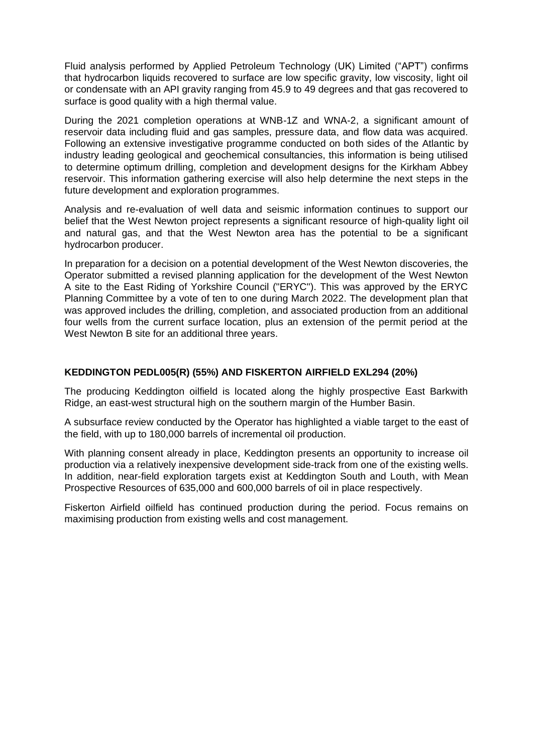Fluid analysis performed by Applied Petroleum Technology (UK) Limited ("APT") confirms that hydrocarbon liquids recovered to surface are low specific gravity, low viscosity, light oil or condensate with an API gravity ranging from 45.9 to 49 degrees and that gas recovered to surface is good quality with a high thermal value.

During the 2021 completion operations at WNB-1Z and WNA-2, a significant amount of reservoir data including fluid and gas samples, pressure data, and flow data was acquired. Following an extensive investigative programme conducted on both sides of the Atlantic by industry leading geological and geochemical consultancies, this information is being utilised to determine optimum drilling, completion and development designs for the Kirkham Abbey reservoir. This information gathering exercise will also help determine the next steps in the future development and exploration programmes.

Analysis and re-evaluation of well data and seismic information continues to support our belief that the West Newton project represents a significant resource of high-quality light oil and natural gas, and that the West Newton area has the potential to be a significant hydrocarbon producer.

In preparation for a decision on a potential development of the West Newton discoveries, the Operator submitted a revised planning application for the development of the West Newton A site to the East Riding of Yorkshire Council ("ERYC"). This was approved by the ERYC Planning Committee by a vote of ten to one during March 2022. The development plan that was approved includes the drilling, completion, and associated production from an additional four wells from the current surface location, plus an extension of the permit period at the West Newton B site for an additional three years.

# **KEDDINGTON PEDL005(R) (55%) AND FISKERTON AIRFIELD EXL294 (20%)**

The producing Keddington oilfield is located along the highly prospective East Barkwith Ridge, an east-west structural high on the southern margin of the Humber Basin.

A subsurface review conducted by the Operator has highlighted a viable target to the east of the field, with up to 180,000 barrels of incremental oil production.

With planning consent already in place, Keddington presents an opportunity to increase oil production via a relatively inexpensive development side-track from one of the existing wells. In addition, near-field exploration targets exist at Keddington South and Louth, with Mean Prospective Resources of 635,000 and 600,000 barrels of oil in place respectively.

Fiskerton Airfield oilfield has continued production during the period. Focus remains on maximising production from existing wells and cost management.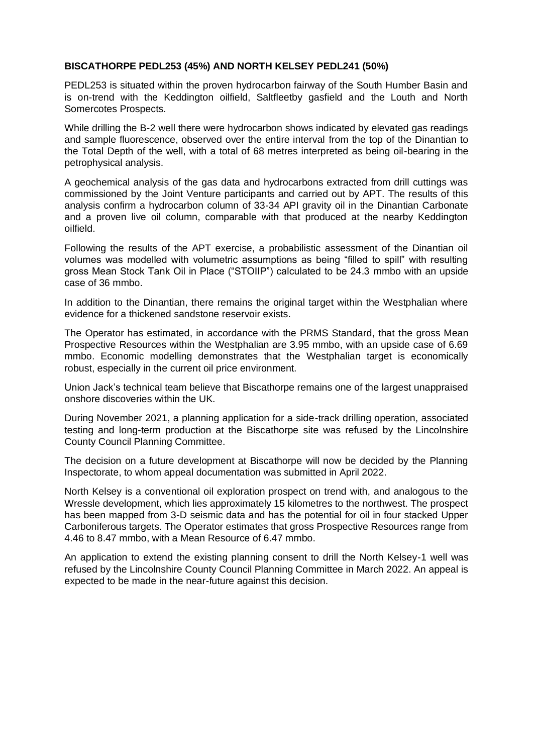## **BISCATHORPE PEDL253 (45%) AND NORTH KELSEY PEDL241 (50%)**

PEDL253 is situated within the proven hydrocarbon fairway of the South Humber Basin and is on-trend with the Keddington oilfield, Saltfleetby gasfield and the Louth and North Somercotes Prospects.

While drilling the B-2 well there were hydrocarbon shows indicated by elevated gas readings and sample fluorescence, observed over the entire interval from the top of the Dinantian to the Total Depth of the well, with a total of 68 metres interpreted as being oil-bearing in the petrophysical analysis.

A geochemical analysis of the gas data and hydrocarbons extracted from drill cuttings was commissioned by the Joint Venture participants and carried out by APT. The results of this analysis confirm a hydrocarbon column of 33-34 API gravity oil in the Dinantian Carbonate and a proven live oil column, comparable with that produced at the nearby Keddington oilfield.

Following the results of the APT exercise, a probabilistic assessment of the Dinantian oil volumes was modelled with volumetric assumptions as being "filled to spill" with resulting gross Mean Stock Tank Oil in Place ("STOIIP") calculated to be 24.3 mmbo with an upside case of 36 mmbo.

In addition to the Dinantian, there remains the original target within the Westphalian where evidence for a thickened sandstone reservoir exists.

The Operator has estimated, in accordance with the PRMS Standard, that the gross Mean Prospective Resources within the Westphalian are 3.95 mmbo, with an upside case of 6.69 mmbo. Economic modelling demonstrates that the Westphalian target is economically robust, especially in the current oil price environment.

Union Jack's technical team believe that Biscathorpe remains one of the largest unappraised onshore discoveries within the UK.

During November 2021, a planning application for a side-track drilling operation, associated testing and long-term production at the Biscathorpe site was refused by the Lincolnshire County Council Planning Committee.

The decision on a future development at Biscathorpe will now be decided by the Planning Inspectorate, to whom appeal documentation was submitted in April 2022.

North Kelsey is a conventional oil exploration prospect on trend with, and analogous to the Wressle development, which lies approximately 15 kilometres to the northwest. The prospect has been mapped from 3-D seismic data and has the potential for oil in four stacked Upper Carboniferous targets. The Operator estimates that gross Prospective Resources range from 4.46 to 8.47 mmbo, with a Mean Resource of 6.47 mmbo.

An application to extend the existing planning consent to drill the North Kelsey-1 well was refused by the Lincolnshire County Council Planning Committee in March 2022. An appeal is expected to be made in the near-future against this decision.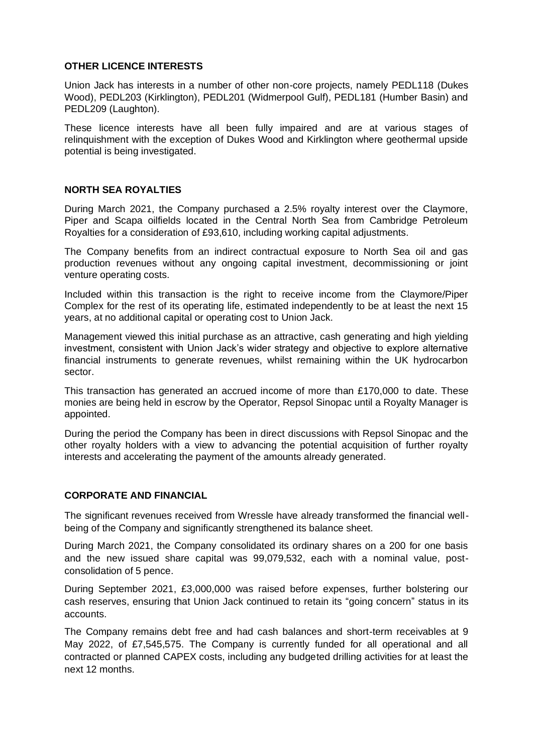## **OTHER LICENCE INTERESTS**

Union Jack has interests in a number of other non-core projects, namely PEDL118 (Dukes Wood), PEDL203 (Kirklington), PEDL201 (Widmerpool Gulf), PEDL181 (Humber Basin) and PEDL209 (Laughton).

These licence interests have all been fully impaired and are at various stages of relinquishment with the exception of Dukes Wood and Kirklington where geothermal upside potential is being investigated.

# **NORTH SEA ROYALTIES**

During March 2021, the Company purchased a 2.5% royalty interest over the Claymore, Piper and Scapa oilfields located in the Central North Sea from Cambridge Petroleum Royalties for a consideration of £93,610, including working capital adjustments.

The Company benefits from an indirect contractual exposure to North Sea oil and gas production revenues without any ongoing capital investment, decommissioning or joint venture operating costs.

Included within this transaction is the right to receive income from the Claymore/Piper Complex for the rest of its operating life, estimated independently to be at least the next 15 years, at no additional capital or operating cost to Union Jack.

Management viewed this initial purchase as an attractive, cash generating and high yielding investment, consistent with Union Jack's wider strategy and objective to explore alternative financial instruments to generate revenues, whilst remaining within the UK hydrocarbon sector.

This transaction has generated an accrued income of more than £170,000 to date. These monies are being held in escrow by the Operator, Repsol Sinopac until a Royalty Manager is appointed.

During the period the Company has been in direct discussions with Repsol Sinopac and the other royalty holders with a view to advancing the potential acquisition of further royalty interests and accelerating the payment of the amounts already generated.

### **CORPORATE AND FINANCIAL**

The significant revenues received from Wressle have already transformed the financial wellbeing of the Company and significantly strengthened its balance sheet.

During March 2021, the Company consolidated its ordinary shares on a 200 for one basis and the new issued share capital was 99,079,532, each with a nominal value, postconsolidation of 5 pence.

During September 2021, £3,000,000 was raised before expenses, further bolstering our cash reserves, ensuring that Union Jack continued to retain its "going concern" status in its accounts.

The Company remains debt free and had cash balances and short-term receivables at 9 May 2022, of £7,545,575. The Company is currently funded for all operational and all contracted or planned CAPEX costs, including any budgeted drilling activities for at least the next 12 months.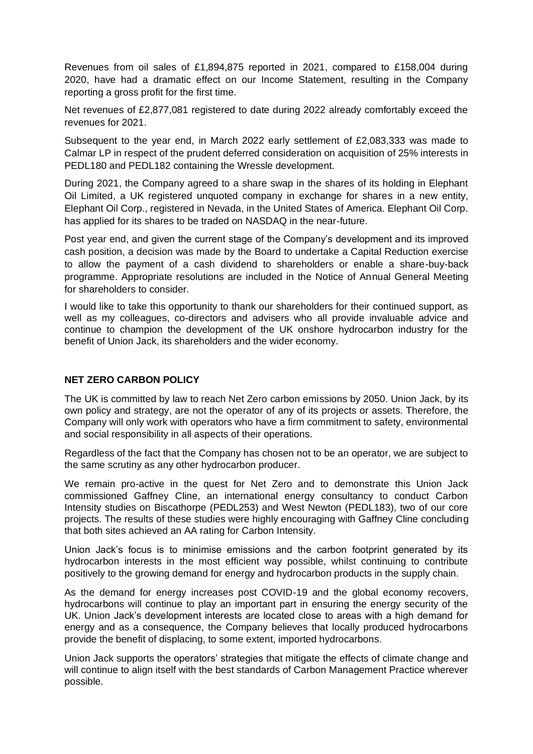Revenues from oil sales of £1,894,875 reported in 2021, compared to £158,004 during 2020, have had a dramatic effect on our Income Statement, resulting in the Company reporting a gross profit for the first time.

Net revenues of £2,877,081 registered to date during 2022 already comfortably exceed the revenues for 2021.

Subsequent to the year end, in March 2022 early settlement of £2,083,333 was made to Calmar LP in respect of the prudent deferred consideration on acquisition of 25% interests in PEDL180 and PEDL182 containing the Wressle development.

During 2021, the Company agreed to a share swap in the shares of its holding in Elephant Oil Limited, a UK registered unquoted company in exchange for shares in a new entity, Elephant Oil Corp., registered in Nevada, in the United States of America. Elephant Oil Corp. has applied for its shares to be traded on NASDAQ in the near-future.

Post year end, and given the current stage of the Company's development and its improved cash position, a decision was made by the Board to undertake a Capital Reduction exercise to allow the payment of a cash dividend to shareholders or enable a share-buy-back programme. Appropriate resolutions are included in the Notice of Annual General Meeting for shareholders to consider.

I would like to take this opportunity to thank our shareholders for their continued support, as well as my colleagues, co-directors and advisers who all provide invaluable advice and continue to champion the development of the UK onshore hydrocarbon industry for the benefit of Union Jack, its shareholders and the wider economy.

# **NET ZERO CARBON POLICY**

The UK is committed by law to reach Net Zero carbon emissions by 2050. Union Jack, by its own policy and strategy, are not the operator of any of its projects or assets. Therefore, the Company will only work with operators who have a firm commitment to safety, environmental and social responsibility in all aspects of their operations.

Regardless of the fact that the Company has chosen not to be an operator, we are subject to the same scrutiny as any other hydrocarbon producer.

We remain pro-active in the quest for Net Zero and to demonstrate this Union Jack commissioned Gaffney Cline, an international energy consultancy to conduct Carbon Intensity studies on Biscathorpe (PEDL253) and West Newton (PEDL183), two of our core projects. The results of these studies were highly encouraging with Gaffney Cline concluding that both sites achieved an AA rating for Carbon Intensity.

Union Jack's focus is to minimise emissions and the carbon footprint generated by its hydrocarbon interests in the most efficient way possible, whilst continuing to contribute positively to the growing demand for energy and hydrocarbon products in the supply chain.

As the demand for energy increases post COVID-19 and the global economy recovers, hydrocarbons will continue to play an important part in ensuring the energy security of the UK. Union Jack's development interests are located close to areas with a high demand for energy and as a consequence, the Company believes that locally produced hydrocarbons provide the benefit of displacing, to some extent, imported hydrocarbons.

Union Jack supports the operators' strategies that mitigate the effects of climate change and will continue to align itself with the best standards of Carbon Management Practice wherever possible.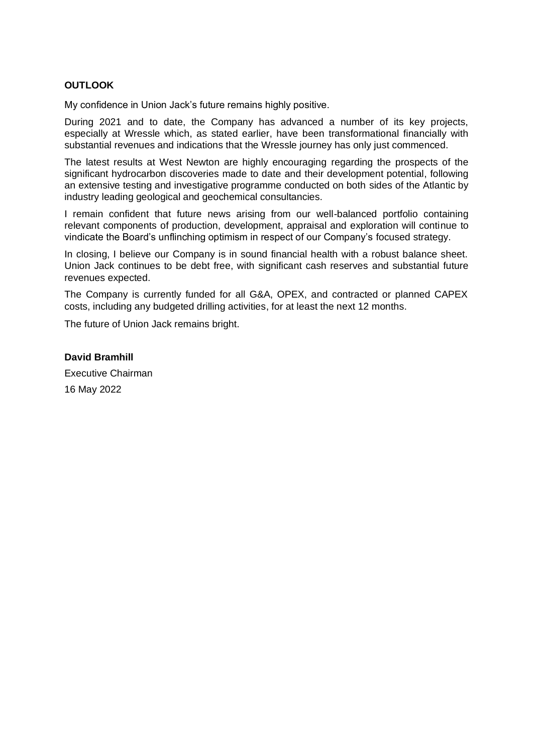# **OUTLOOK**

My confidence in Union Jack's future remains highly positive.

During 2021 and to date, the Company has advanced a number of its key projects, especially at Wressle which, as stated earlier, have been transformational financially with substantial revenues and indications that the Wressle journey has only just commenced.

The latest results at West Newton are highly encouraging regarding the prospects of the significant hydrocarbon discoveries made to date and their development potential, following an extensive testing and investigative programme conducted on both sides of the Atlantic by industry leading geological and geochemical consultancies.

I remain confident that future news arising from our well-balanced portfolio containing relevant components of production, development, appraisal and exploration will continue to vindicate the Board's unflinching optimism in respect of our Company's focused strategy.

In closing, I believe our Company is in sound financial health with a robust balance sheet. Union Jack continues to be debt free, with significant cash reserves and substantial future revenues expected.

The Company is currently funded for all G&A, OPEX, and contracted or planned CAPEX costs, including any budgeted drilling activities, for at least the next 12 months.

The future of Union Jack remains bright.

**David Bramhill** Executive Chairman

16 May 2022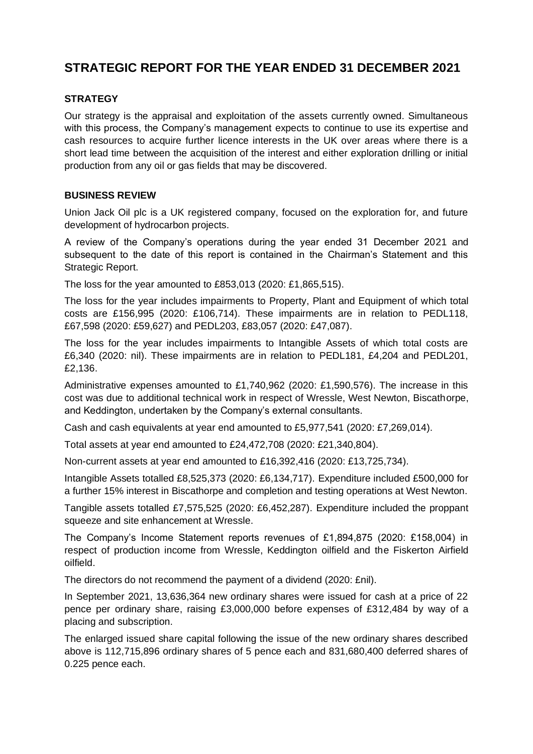# **STRATEGIC REPORT FOR THE YEAR ENDED 31 DECEMBER 2021**

# **STRATEGY**

Our strategy is the appraisal and exploitation of the assets currently owned. Simultaneous with this process, the Company's management expects to continue to use its expertise and cash resources to acquire further licence interests in the UK over areas where there is a short lead time between the acquisition of the interest and either exploration drilling or initial production from any oil or gas fields that may be discovered.

# **BUSINESS REVIEW**

Union Jack Oil plc is a UK registered company, focused on the exploration for, and future development of hydrocarbon projects.

A review of the Company's operations during the year ended 31 December 2021 and subsequent to the date of this report is contained in the Chairman's Statement and this Strategic Report.

The loss for the year amounted to £853,013 (2020: £1,865,515).

The loss for the year includes impairments to Property, Plant and Equipment of which total costs are £156,995 (2020: £106,714). These impairments are in relation to PEDL118, £67,598 (2020: £59,627) and PEDL203, £83,057 (2020: £47,087).

The loss for the year includes impairments to Intangible Assets of which total costs are £6,340 (2020: nil). These impairments are in relation to PEDL181, £4,204 and PEDL201, £2,136.

Administrative expenses amounted to £1,740,962 (2020: £1,590,576). The increase in this cost was due to additional technical work in respect of Wressle, West Newton, Biscathorpe, and Keddington, undertaken by the Company's external consultants.

Cash and cash equivalents at year end amounted to £5,977,541 (2020: £7,269,014).

Total assets at year end amounted to £24,472,708 (2020: £21,340,804).

Non-current assets at year end amounted to £16,392,416 (2020: £13,725,734).

Intangible Assets totalled £8,525,373 (2020: £6,134,717). Expenditure included £500,000 for a further 15% interest in Biscathorpe and completion and testing operations at West Newton.

Tangible assets totalled £7,575,525 (2020: £6,452,287). Expenditure included the proppant squeeze and site enhancement at Wressle.

The Company's Income Statement reports revenues of £1,894,875 (2020: £158,004) in respect of production income from Wressle, Keddington oilfield and the Fiskerton Airfield oilfield.

The directors do not recommend the payment of a dividend (2020: £nil).

In September 2021, 13,636,364 new ordinary shares were issued for cash at a price of 22 pence per ordinary share, raising £3,000,000 before expenses of £312,484 by way of a placing and subscription.

The enlarged issued share capital following the issue of the new ordinary shares described above is 112,715,896 ordinary shares of 5 pence each and 831,680,400 deferred shares of 0.225 pence each.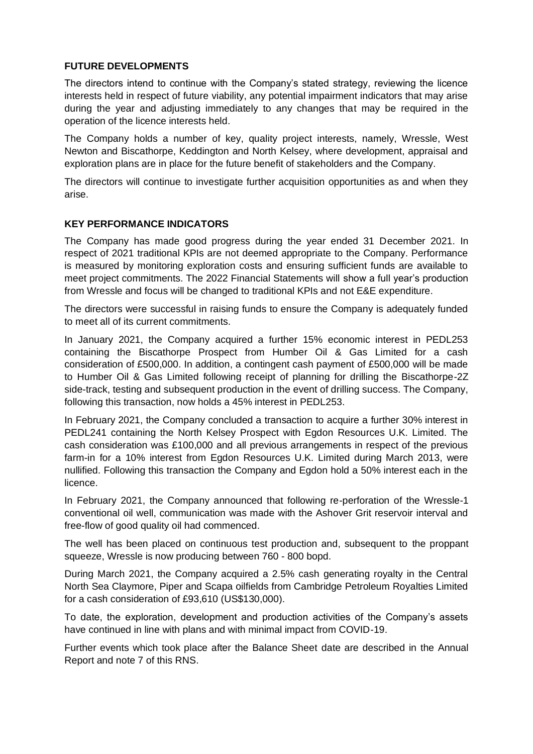# **FUTURE DEVELOPMENTS**

The directors intend to continue with the Company's stated strategy, reviewing the licence interests held in respect of future viability, any potential impairment indicators that may arise during the year and adjusting immediately to any changes that may be required in the operation of the licence interests held.

The Company holds a number of key, quality project interests, namely, Wressle, West Newton and Biscathorpe, Keddington and North Kelsey, where development, appraisal and exploration plans are in place for the future benefit of stakeholders and the Company.

The directors will continue to investigate further acquisition opportunities as and when they arise.

# **KEY PERFORMANCE INDICATORS**

The Company has made good progress during the year ended 31 December 2021. In respect of 2021 traditional KPIs are not deemed appropriate to the Company. Performance is measured by monitoring exploration costs and ensuring sufficient funds are available to meet project commitments. The 2022 Financial Statements will show a full year's production from Wressle and focus will be changed to traditional KPIs and not E&E expenditure.

The directors were successful in raising funds to ensure the Company is adequately funded to meet all of its current commitments.

In January 2021, the Company acquired a further 15% economic interest in PEDL253 containing the Biscathorpe Prospect from Humber Oil & Gas Limited for a cash consideration of £500,000. In addition, a contingent cash payment of £500,000 will be made to Humber Oil & Gas Limited following receipt of planning for drilling the Biscathorpe-2Z side-track, testing and subsequent production in the event of drilling success. The Company, following this transaction, now holds a 45% interest in PEDL253.

In February 2021, the Company concluded a transaction to acquire a further 30% interest in PEDL241 containing the North Kelsey Prospect with Egdon Resources U.K. Limited. The cash consideration was £100,000 and all previous arrangements in respect of the previous farm-in for a 10% interest from Egdon Resources U.K. Limited during March 2013, were nullified. Following this transaction the Company and Egdon hold a 50% interest each in the licence.

In February 2021, the Company announced that following re-perforation of the Wressle-1 conventional oil well, communication was made with the Ashover Grit reservoir interval and free-flow of good quality oil had commenced.

The well has been placed on continuous test production and, subsequent to the proppant squeeze, Wressle is now producing between 760 - 800 bopd.

During March 2021, the Company acquired a 2.5% cash generating royalty in the Central North Sea Claymore, Piper and Scapa oilfields from Cambridge Petroleum Royalties Limited for a cash consideration of £93,610 (US\$130,000).

To date, the exploration, development and production activities of the Company's assets have continued in line with plans and with minimal impact from COVID-19.

Further events which took place after the Balance Sheet date are described in the Annual Report and note 7 of this RNS.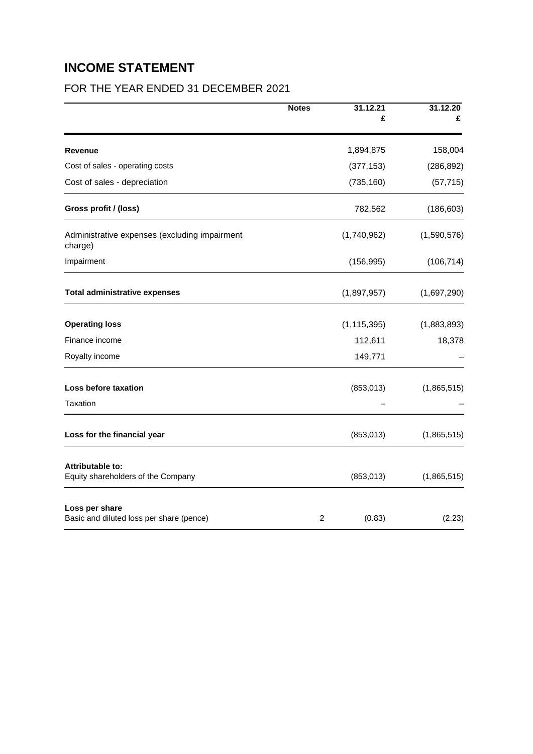# **INCOME STATEMENT**

# FOR THE YEAR ENDED 31 DECEMBER 2021

|                                                            | <b>Notes</b> | 31.12.21<br>£ | 31.12.20<br>£ |
|------------------------------------------------------------|--------------|---------------|---------------|
|                                                            |              |               |               |
| <b>Revenue</b>                                             |              | 1,894,875     | 158,004       |
| Cost of sales - operating costs                            |              | (377, 153)    | (286, 892)    |
| Cost of sales - depreciation                               |              | (735, 160)    | (57, 715)     |
| Gross profit / (loss)                                      |              | 782,562       | (186, 603)    |
| Administrative expenses (excluding impairment<br>charge)   |              | (1,740,962)   | (1,590,576)   |
| Impairment                                                 |              | (156, 995)    | (106, 714)    |
| <b>Total administrative expenses</b>                       |              | (1,897,957)   | (1,697,290)   |
| <b>Operating loss</b>                                      |              | (1, 115, 395) | (1,883,893)   |
| Finance income                                             |              | 112,611       | 18,378        |
| Royalty income                                             |              | 149,771       |               |
| Loss before taxation                                       |              | (853, 013)    | (1,865,515)   |
| Taxation                                                   |              |               |               |
| Loss for the financial year                                |              | (853, 013)    | (1,865,515)   |
| Attributable to:<br>Equity shareholders of the Company     |              | (853, 013)    | (1,865,515)   |
| Loss per share<br>Basic and diluted loss per share (pence) | 2            | (0.83)        | (2.23)        |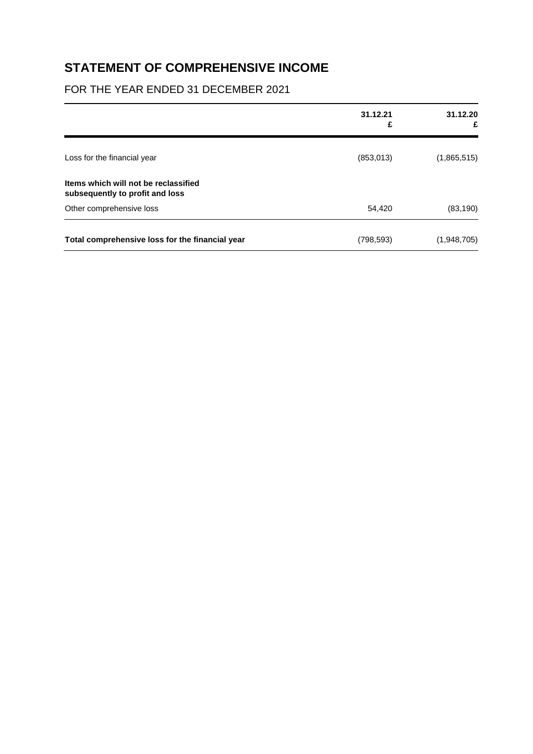# **STATEMENT OF COMPREHENSIVE INCOME**

# FOR THE YEAR ENDED 31 DECEMBER 2021

|                                                                         | 31.12.21<br>£ | 31.12.20<br>£ |
|-------------------------------------------------------------------------|---------------|---------------|
| Loss for the financial year                                             | (853, 013)    | (1,865,515)   |
| Items which will not be reclassified<br>subsequently to profit and loss |               |               |
| Other comprehensive loss                                                | 54,420        | (83, 190)     |
| Total comprehensive loss for the financial year                         | (798, 593)    | (1,948,705)   |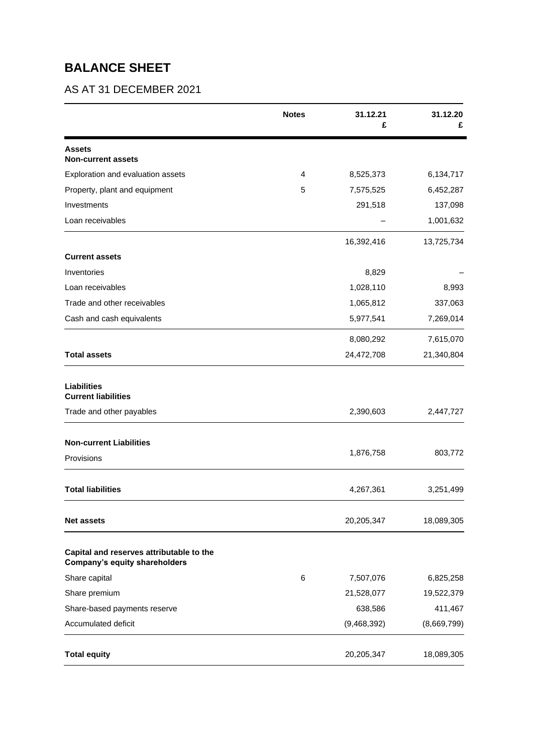# **BALANCE SHEET**

# AS AT 31 DECEMBER 2021

|                                                                           | <b>Notes</b> | 31.12.21<br>£ | 31.12.20    |
|---------------------------------------------------------------------------|--------------|---------------|-------------|
| <b>Assets</b><br><b>Non-current assets</b>                                |              |               |             |
| Exploration and evaluation assets                                         | 4            | 8,525,373     | 6,134,717   |
| Property, plant and equipment                                             | 5            | 7,575,525     | 6,452,287   |
| Investments                                                               |              | 291,518       | 137,098     |
| Loan receivables                                                          |              |               | 1,001,632   |
|                                                                           |              | 16,392,416    | 13,725,734  |
| <b>Current assets</b>                                                     |              |               |             |
| Inventories                                                               |              | 8,829         |             |
| Loan receivables                                                          |              | 1,028,110     | 8,993       |
| Trade and other receivables                                               |              | 1,065,812     | 337,063     |
| Cash and cash equivalents                                                 |              | 5,977,541     | 7,269,014   |
|                                                                           |              | 8,080,292     | 7,615,070   |
| <b>Total assets</b>                                                       |              | 24,472,708    | 21,340,804  |
| <b>Liabilities</b><br><b>Current liabilities</b>                          |              |               |             |
| Trade and other payables                                                  |              | 2,390,603     | 2,447,727   |
| <b>Non-current Liabilities</b>                                            |              |               |             |
| Provisions                                                                |              | 1,876,758     | 803,772     |
| <b>Total liabilities</b>                                                  |              | 4,267,361     | 3,251,499   |
| <b>Net assets</b>                                                         |              | 20,205,347    | 18,089,305  |
| Capital and reserves attributable to the<br>Company's equity shareholders |              |               |             |
| Share capital                                                             | 6            | 7,507,076     | 6,825,258   |
| Share premium                                                             |              | 21,528,077    | 19,522,379  |
| Share-based payments reserve                                              |              | 638,586       | 411,467     |
| Accumulated deficit                                                       |              | (9,468,392)   | (8,669,799) |
| <b>Total equity</b>                                                       |              | 20,205,347    | 18,089,305  |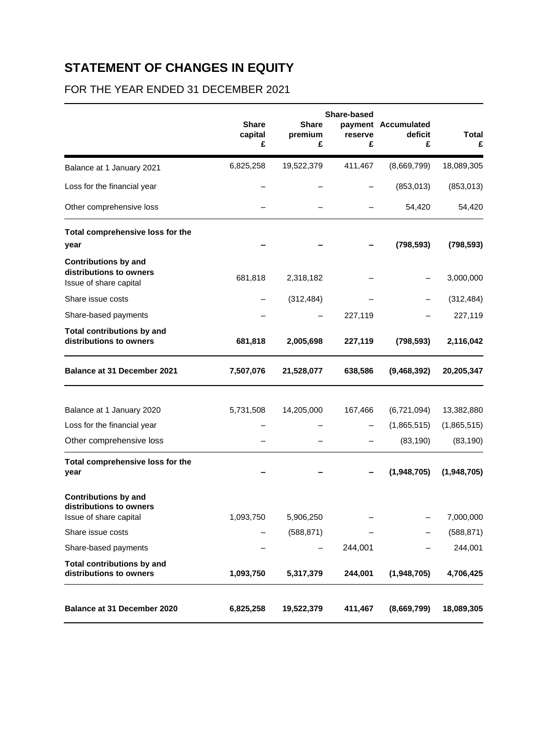# **STATEMENT OF CHANGES IN EQUITY**

# FOR THE YEAR ENDED 31 DECEMBER 2021

|                                                                                  | <b>Share</b><br>capital<br>£ | <b>Share</b><br>premium<br>£ | Share-based<br>reserve<br>£ | payment Accumulated<br>deficit<br>£ | <b>Total</b><br>£ |
|----------------------------------------------------------------------------------|------------------------------|------------------------------|-----------------------------|-------------------------------------|-------------------|
| Balance at 1 January 2021                                                        | 6,825,258                    | 19,522,379                   | 411,467                     | (8,669,799)                         | 18,089,305        |
| Loss for the financial year                                                      |                              |                              |                             | (853, 013)                          | (853, 013)        |
| Other comprehensive loss                                                         |                              |                              |                             | 54,420                              | 54,420            |
| Total comprehensive loss for the<br>year                                         |                              |                              |                             | (798, 593)                          | (798, 593)        |
| <b>Contributions by and</b><br>distributions to owners<br>Issue of share capital | 681,818                      | 2,318,182                    |                             |                                     | 3,000,000         |
| Share issue costs                                                                |                              | (312, 484)                   |                             |                                     | (312, 484)        |
| Share-based payments                                                             |                              |                              | 227,119                     |                                     | 227,119           |
| <b>Total contributions by and</b><br>distributions to owners                     | 681,818                      | 2,005,698                    | 227,119                     | (798, 593)                          | 2,116,042         |
| <b>Balance at 31 December 2021</b>                                               | 7,507,076                    | 21,528,077                   | 638,586                     | (9,468,392)                         | 20,205,347        |
| Balance at 1 January 2020                                                        | 5,731,508                    | 14,205,000                   | 167,466                     | (6,721,094)                         | 13,382,880        |
| Loss for the financial year                                                      |                              |                              |                             | (1,865,515)                         | (1,865,515)       |
| Other comprehensive loss                                                         |                              |                              |                             | (83, 190)                           | (83, 190)         |
| Total comprehensive loss for the<br>year                                         |                              |                              |                             | (1,948,705)                         | (1,948,705)       |
| <b>Contributions by and</b><br>distributions to owners<br>Issue of share capital | 1,093,750                    | 5,906,250                    |                             |                                     | 7,000,000         |
| Share issue costs                                                                |                              | (588, 871)                   |                             |                                     | (588, 871)        |
| Share-based payments                                                             |                              |                              | 244,001                     |                                     | 244,001           |
| <b>Total contributions by and</b><br>distributions to owners                     | 1,093,750                    | 5,317,379                    | 244,001                     | (1,948,705)                         | 4,706,425         |
| Balance at 31 December 2020                                                      | 6,825,258                    | 19,522,379                   | 411,467                     | (8,669,799)                         | 18,089,305        |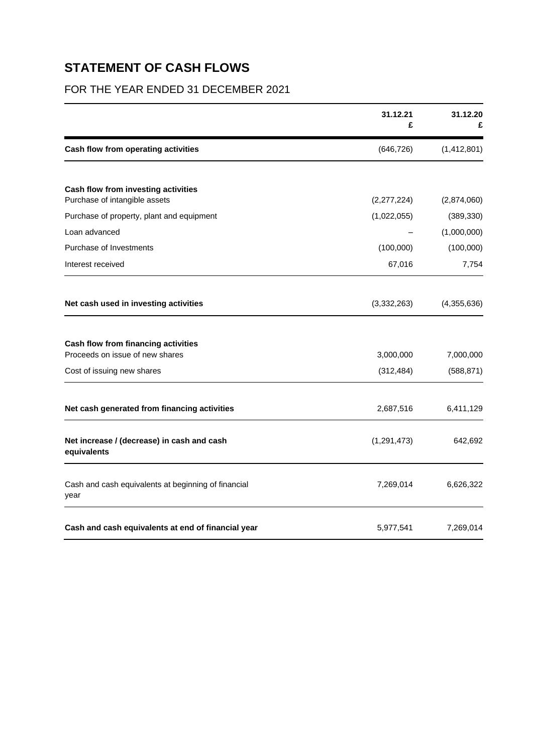# **STATEMENT OF CASH FLOWS**

# FOR THE YEAR ENDED 31 DECEMBER 2021

|                                                                        | 31.12.21<br>£           | 31.12.20                |
|------------------------------------------------------------------------|-------------------------|-------------------------|
| Cash flow from operating activities                                    | (646, 726)              | (1,412,801)             |
| Cash flow from investing activities                                    |                         |                         |
| Purchase of intangible assets                                          | (2,277,224)             | (2,874,060)             |
| Purchase of property, plant and equipment                              | (1,022,055)             | (389, 330)              |
| Loan advanced                                                          |                         | (1,000,000)             |
| Purchase of Investments                                                | (100,000)               | (100,000)               |
| Interest received                                                      | 67,016                  | 7,754                   |
| Net cash used in investing activities                                  | (3,332,263)             | (4,355,636)             |
| Cash flow from financing activities<br>Proceeds on issue of new shares |                         |                         |
| Cost of issuing new shares                                             | 3,000,000<br>(312, 484) | 7,000,000<br>(588, 871) |
| Net cash generated from financing activities                           | 2,687,516               | 6,411,129               |
| Net increase / (decrease) in cash and cash<br>equivalents              | (1, 291, 473)           | 642,692                 |
| Cash and cash equivalents at beginning of financial<br>year            | 7,269,014               | 6,626,322               |
| Cash and cash equivalents at end of financial year                     | 5,977,541               | 7,269,014               |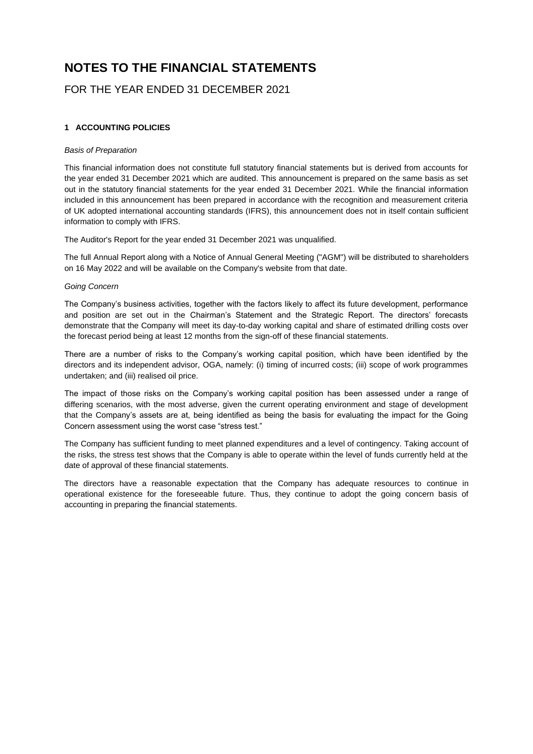# **NOTES TO THE FINANCIAL STATEMENTS**

# FOR THE YEAR ENDED 31 DECEMBER 2021

### **1 ACCOUNTING POLICIES**

#### *Basis of Preparation*

This financial information does not constitute full statutory financial statements but is derived from accounts for the year ended 31 December 2021 which are audited. This announcement is prepared on the same basis as set out in the statutory financial statements for the year ended 31 December 2021. While the financial information included in this announcement has been prepared in accordance with the recognition and measurement criteria of UK adopted international accounting standards (IFRS), this announcement does not in itself contain sufficient information to comply with IFRS.

The Auditor's Report for the year ended 31 December 2021 was unqualified.

The full Annual Report along with a Notice of Annual General Meeting ("AGM") will be distributed to shareholders on 16 May 2022 and will be available on the Company's website from that date.

#### *Going Concern*

The Company's business activities, together with the factors likely to affect its future development, performance and position are set out in the Chairman's Statement and the Strategic Report. The directors' forecasts demonstrate that the Company will meet its day-to-day working capital and share of estimated drilling costs over the forecast period being at least 12 months from the sign-off of these financial statements.

There are a number of risks to the Company's working capital position, which have been identified by the directors and its independent advisor, OGA, namely: (i) timing of incurred costs; (iii) scope of work programmes undertaken; and (iii) realised oil price.

The impact of those risks on the Company's working capital position has been assessed under a range of differing scenarios, with the most adverse, given the current operating environment and stage of development that the Company's assets are at, being identified as being the basis for evaluating the impact for the Going Concern assessment using the worst case "stress test."

The Company has sufficient funding to meet planned expenditures and a level of contingency. Taking account of the risks, the stress test shows that the Company is able to operate within the level of funds currently held at the date of approval of these financial statements.

The directors have a reasonable expectation that the Company has adequate resources to continue in operational existence for the foreseeable future. Thus, they continue to adopt the going concern basis of accounting in preparing the financial statements.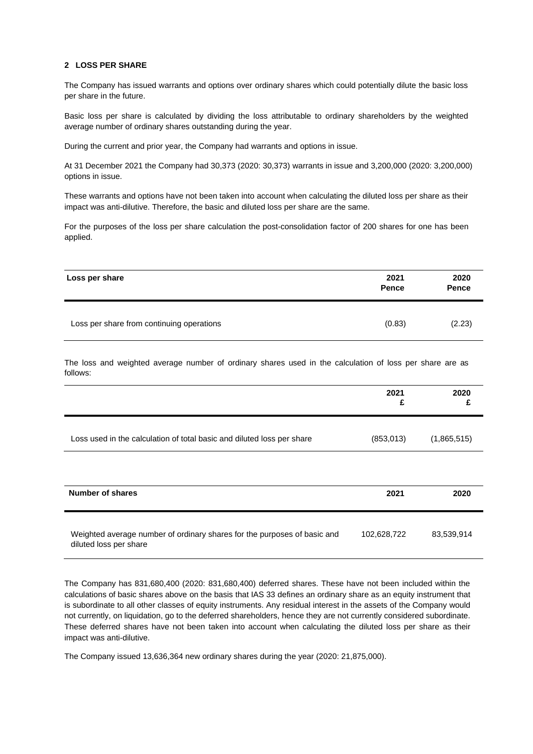#### **2 LOSS PER SHARE**

The Company has issued warrants and options over ordinary shares which could potentially dilute the basic loss per share in the future.

Basic loss per share is calculated by dividing the loss attributable to ordinary shareholders by the weighted average number of ordinary shares outstanding during the year.

During the current and prior year, the Company had warrants and options in issue.

At 31 December 2021 the Company had 30,373 (2020: 30,373) warrants in issue and 3,200,000 (2020: 3,200,000) options in issue.

These warrants and options have not been taken into account when calculating the diluted loss per share as their impact was anti-dilutive. Therefore, the basic and diluted loss per share are the same.

For the purposes of the loss per share calculation the post-consolidation factor of 200 shares for one has been applied.

| Loss per share                            | 2021<br><b>Pence</b> | 2020<br><b>Pence</b> |
|-------------------------------------------|----------------------|----------------------|
| Loss per share from continuing operations | (0.83)               | (2.23)               |

The loss and weighted average number of ordinary shares used in the calculation of loss per share are as follows:

|                                                                                                    | 2021<br>£   | 2020<br>£   |
|----------------------------------------------------------------------------------------------------|-------------|-------------|
| Loss used in the calculation of total basic and diluted loss per share                             | (853, 013)  | (1,865,515) |
|                                                                                                    |             |             |
| <b>Number of shares</b>                                                                            | 2021        | 2020        |
| Weighted average number of ordinary shares for the purposes of basic and<br>diluted loss per share | 102,628,722 | 83,539,914  |

The Company has 831,680,400 (2020: 831,680,400) deferred shares. These have not been included within the calculations of basic shares above on the basis that IAS 33 defines an ordinary share as an equity instrument that is subordinate to all other classes of equity instruments. Any residual interest in the assets of the Company would not currently, on liquidation, go to the deferred shareholders, hence they are not currently considered subordinate. These deferred shares have not been taken into account when calculating the diluted loss per share as their impact was anti-dilutive.

The Company issued 13,636,364 new ordinary shares during the year (2020: 21,875,000).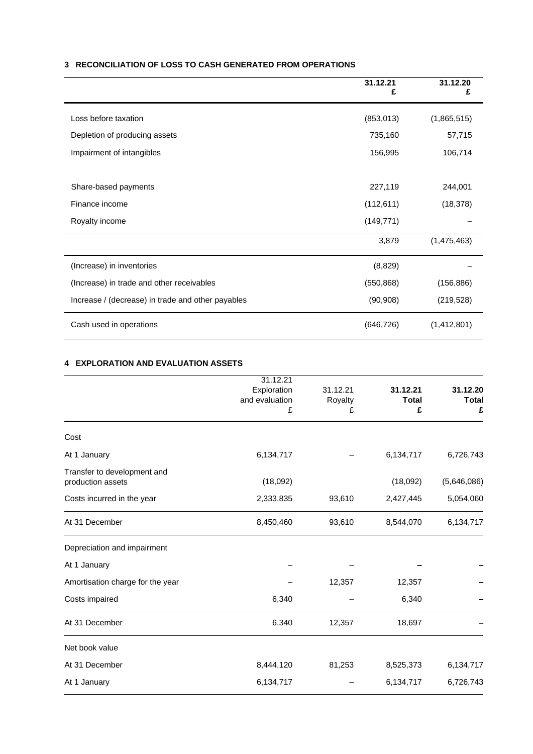# **3 RECONCILIATION OF LOSS TO CASH GENERATED FROM OPERATIONS**

|                                                   | 31.12.21<br>£ | 31.12.20    |
|---------------------------------------------------|---------------|-------------|
| Loss before taxation                              | (853,013)     | (1,865,515) |
| Depletion of producing assets                     | 735,160       | 57,715      |
| Impairment of intangibles                         | 156,995       | 106,714     |
|                                                   |               |             |
| Share-based payments                              | 227,119       | 244,001     |
| Finance income                                    | (112, 611)    | (18, 378)   |
| Royalty income                                    | (149, 771)    |             |
|                                                   | 3,879         | (1,475,463) |
| (Increase) in inventories                         | (8,829)       |             |
| (Increase) in trade and other receivables         | (550, 868)    | (156, 886)  |
| Increase / (decrease) in trade and other payables | (90, 908)     | (219, 528)  |
| Cash used in operations                           | (646, 726)    | (1,412,801) |

## **4 EXPLORATION AND EVALUATION ASSETS**

|                                                  | 31.12.21       |          |              |              |
|--------------------------------------------------|----------------|----------|--------------|--------------|
|                                                  | Exploration    | 31.12.21 | 31.12.21     | 31.12.20     |
|                                                  | and evaluation | Royalty  | <b>Total</b> | <b>Total</b> |
|                                                  | £              | £        | £            | £            |
| Cost                                             |                |          |              |              |
| At 1 January                                     | 6,134,717      |          | 6,134,717    | 6,726,743    |
| Transfer to development and<br>production assets | (18,092)       |          | (18,092)     | (5,646,086)  |
| Costs incurred in the year                       | 2,333,835      | 93,610   | 2,427,445    | 5,054,060    |
| At 31 December                                   | 8,450,460      | 93,610   | 8,544,070    | 6,134,717    |
| Depreciation and impairment                      |                |          |              |              |
| At 1 January                                     |                |          |              |              |
| Amortisation charge for the year                 |                | 12,357   | 12,357       |              |
| Costs impaired                                   | 6,340          |          | 6,340        |              |
| At 31 December                                   | 6,340          | 12,357   | 18,697       |              |
| Net book value                                   |                |          |              |              |
| At 31 December                                   | 8,444,120      | 81,253   | 8,525,373    | 6,134,717    |
| At 1 January                                     | 6,134,717      |          | 6,134,717    | 6,726,743    |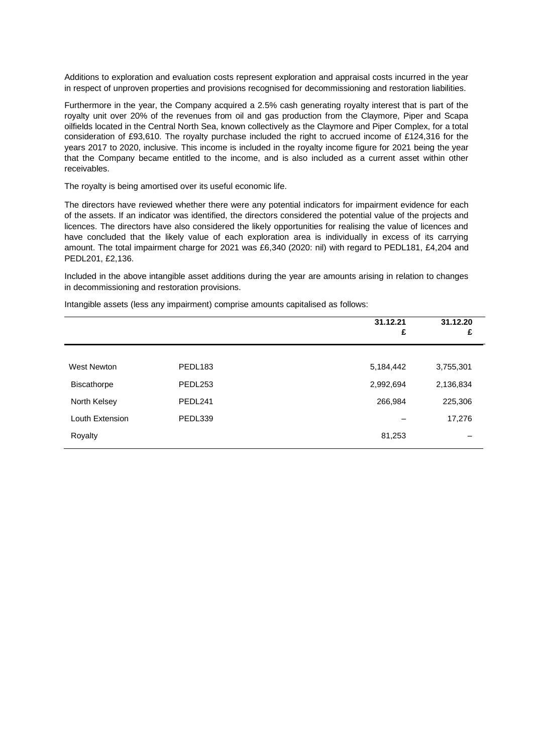Additions to exploration and evaluation costs represent exploration and appraisal costs incurred in the year in respect of unproven properties and provisions recognised for decommissioning and restoration liabilities.

Furthermore in the year, the Company acquired a 2.5% cash generating royalty interest that is part of the royalty unit over 20% of the revenues from oil and gas production from the Claymore, Piper and Scapa oilfields located in the Central North Sea, known collectively as the Claymore and Piper Complex, for a total consideration of £93,610. The royalty purchase included the right to accrued income of £124,316 for the years 2017 to 2020, inclusive. This income is included in the royalty income figure for 2021 being the year that the Company became entitled to the income, and is also included as a current asset within other receivables.

The royalty is being amortised over its useful economic life.

The directors have reviewed whether there were any potential indicators for impairment evidence for each of the assets. If an indicator was identified, the directors considered the potential value of the projects and licences. The directors have also considered the likely opportunities for realising the value of licences and have concluded that the likely value of each exploration area is individually in excess of its carrying amount. The total impairment charge for 2021 was £6,340 (2020: nil) with regard to PEDL181, £4,204 and PEDL201, £2,136.

Included in the above intangible asset additions during the year are amounts arising in relation to changes in decommissioning and restoration provisions.

|                    |                     | 31.12.21<br>£ | 31.12.20<br>£ |
|--------------------|---------------------|---------------|---------------|
|                    |                     |               |               |
| West Newton        | PEDL <sub>183</sub> | 5,184,442     | 3,755,301     |
| <b>Biscathorpe</b> | PEDL253             | 2,992,694     | 2,136,834     |
| North Kelsey       | PEDL241             | 266,984       | 225,306       |
| Louth Extension    | PEDL339             |               | 17,276        |
| Royalty            |                     | 81,253        |               |

Intangible assets (less any impairment) comprise amounts capitalised as follows: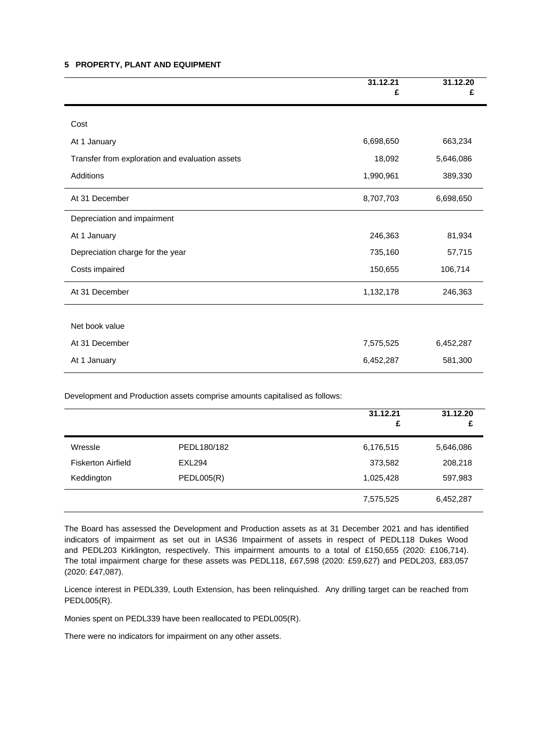#### **5 PROPERTY, PLANT AND EQUIPMENT**

|                                                 | 31.12.21<br>£ | 31.12.20<br>£ |
|-------------------------------------------------|---------------|---------------|
| Cost                                            |               |               |
| At 1 January                                    | 6,698,650     | 663,234       |
| Transfer from exploration and evaluation assets | 18,092        | 5,646,086     |
| <b>Additions</b>                                | 1,990,961     | 389,330       |
| At 31 December                                  | 8,707,703     | 6,698,650     |
| Depreciation and impairment                     |               |               |
| At 1 January                                    | 246,363       | 81,934        |
| Depreciation charge for the year                | 735,160       | 57,715        |
| Costs impaired                                  | 150,655       | 106,714       |
| At 31 December                                  | 1,132,178     | 246,363       |
|                                                 |               |               |
| Net book value                                  |               |               |
| At 31 December                                  | 7,575,525     | 6,452,287     |
| At 1 January                                    | 6,452,287     | 581,300       |

Development and Production assets comprise amounts capitalised as follows:

|                           |               | 31.12.21<br>£ | 31.12.20<br>£ |
|---------------------------|---------------|---------------|---------------|
| Wressle                   | PEDL180/182   | 6,176,515     | 5,646,086     |
| <b>Fiskerton Airfield</b> | <b>EXL294</b> | 373,582       | 208,218       |
| Keddington                | PEDLO05(R)    | 1,025,428     | 597,983       |
|                           |               | 7,575,525     | 6,452,287     |

The Board has assessed the Development and Production assets as at 31 December 2021 and has identified indicators of impairment as set out in IAS36 Impairment of assets in respect of PEDL118 Dukes Wood and PEDL203 Kirklington, respectively. This impairment amounts to a total of £150,655 (2020: £106,714). The total impairment charge for these assets was PEDL118, £67,598 (2020: £59,627) and PEDL203, £83,057 (2020: £47,087).

Licence interest in PEDL339, Louth Extension, has been relinquished. Any drilling target can be reached from PEDL005(R).

Monies spent on PEDL339 have been reallocated to PEDL005(R).

There were no indicators for impairment on any other assets.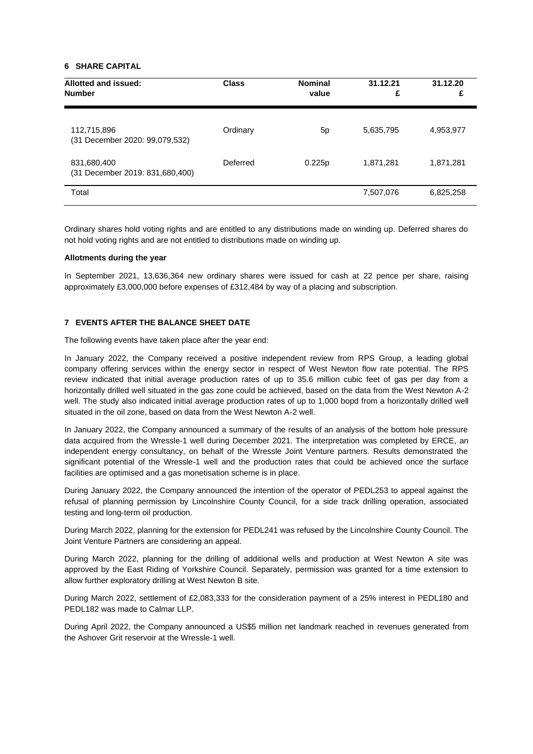#### **6 SHARE CAPITAL**

| Allotted and issued:<br><b>Number</b>          | <b>Class</b> | <b>Nominal</b><br>value | 31.12.21<br>£ | 31.12.20<br>£ |
|------------------------------------------------|--------------|-------------------------|---------------|---------------|
| 112,715,896<br>(31 December 2020: 99,079,532)  | Ordinary     | 5p                      | 5,635,795     | 4,953,977     |
| 831,680,400<br>(31 December 2019: 831,680,400) | Deferred     | 0.225p                  | 1,871,281     | 1,871,281     |
| Total                                          |              |                         | 7,507,076     | 6,825,258     |

Ordinary shares hold voting rights and are entitled to any distributions made on winding up. Deferred shares do not hold voting rights and are not entitled to distributions made on winding up.

#### **Allotments during the year**

In September 2021, 13,636,364 new ordinary shares were issued for cash at 22 pence per share, raising approximately £3,000,000 before expenses of £312,484 by way of a placing and subscription.

#### **7 EVENTS AFTER THE BALANCE SHEET DATE**

The following events have taken place after the year end:

In January 2022, the Company received a positive independent review from RPS Group, a leading global company offering services within the energy sector in respect of West Newton flow rate potential. The RPS review indicated that initial average production rates of up to 35.6 million cubic feet of gas per day from a horizontally drilled well situated in the gas zone could be achieved, based on the data from the West Newton A-2 well. The study also indicated initial average production rates of up to 1,000 bopd from a horizontally drilled well situated in the oil zone, based on data from the West Newton A-2 well.

In January 2022, the Company announced a summary of the results of an analysis of the bottom hole pressure data acquired from the Wressle-1 well during December 2021. The interpretation was completed by ERCE, an independent energy consultancy, on behalf of the Wressle Joint Venture partners. Results demonstrated the significant potential of the Wressle-1 well and the production rates that could be achieved once the surface facilities are optimised and a gas monetisation scheme is in place.

During January 2022, the Company announced the intention of the operator of PEDL253 to appeal against the refusal of planning permission by Lincolnshire County Council, for a side track drilling operation, associated testing and long-term oil production.

During March 2022, planning for the extension for PEDL241 was refused by the Lincolnshire County Council. The Joint Venture Partners are considering an appeal.

During March 2022, planning for the drilling of additional wells and production at West Newton A site was approved by the East Riding of Yorkshire Council. Separately, permission was granted for a time extension to allow further exploratory drilling at West Newton B site.

During March 2022, settlement of £2,083,333 for the consideration payment of a 25% interest in PEDL180 and PEDL182 was made to Calmar LLP.

During April 2022, the Company announced a US\$5 million net landmark reached in revenues generated from the Ashover Grit reservoir at the Wressle-1 well.